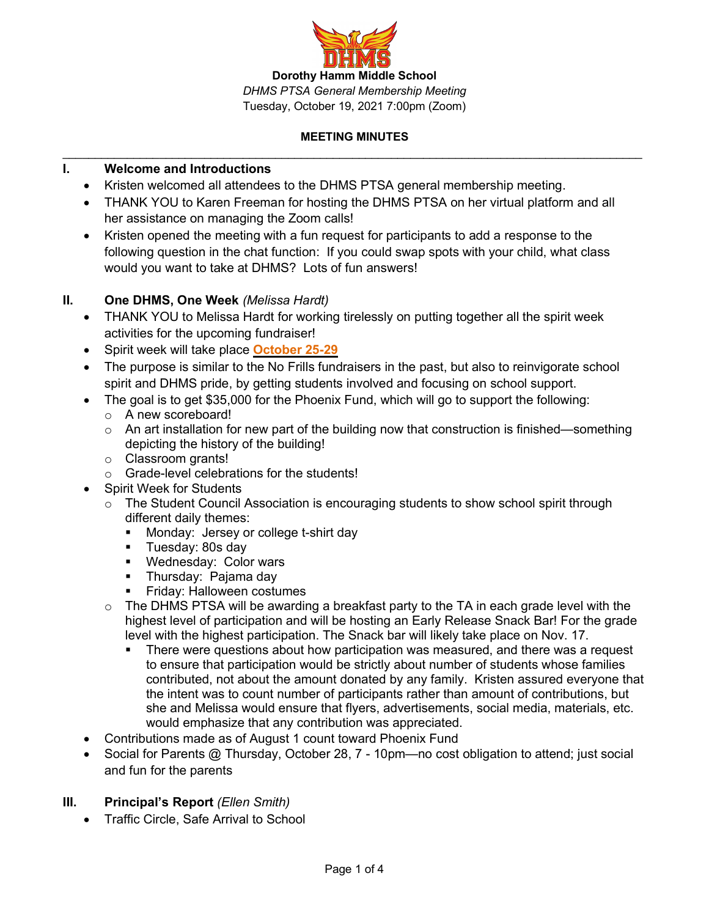

## **I. Welcome and Introductions**

- Kristen welcomed all attendees to the DHMS PTSA general membership meeting.
- THANK YOU to Karen Freeman for hosting the DHMS PTSA on her virtual platform and all her assistance on managing the Zoom calls!
- Kristen opened the meeting with a fun request for participants to add a response to the following question in the chat function: If you could swap spots with your child, what class would you want to take at DHMS? Lots of fun answers!

### **II. One DHMS, One Week** *(Melissa Hardt)*

- THANK YOU to Melissa Hardt for working tirelessly on putting together all the spirit week activities for the upcoming fundraiser!
- Spirit week will take place **October 25-29**
- The purpose is similar to the No Frills fundraisers in the past, but also to reinvigorate school spirit and DHMS pride, by getting students involved and focusing on school support.
- The goal is to get \$35,000 for the Phoenix Fund, which will go to support the following:
	- o A new scoreboard!
	- $\circ$  An art installation for new part of the building now that construction is finished—something depicting the history of the building!
	- o Classroom grants!
	- o Grade-level celebrations for the students!
	- Spirit Week for Students
		- $\circ$  The Student Council Association is encouraging students to show school spirit through different daily themes:
			- Monday: Jersey or college t-shirt day
			- Tuesday: 80s day
			- Wednesday: Color wars
			- Thursday: Pajama day
			- Friday: Halloween costumes
		- $\circ$  The DHMS PTSA will be awarding a breakfast party to the TA in each grade level with the highest level of participation and will be hosting an Early Release Snack Bar! For the grade level with the highest participation. The Snack bar will likely take place on Nov. 17.
			- There were questions about how participation was measured, and there was a request to ensure that participation would be strictly about number of students whose families contributed, not about the amount donated by any family. Kristen assured everyone that the intent was to count number of participants rather than amount of contributions, but she and Melissa would ensure that flyers, advertisements, social media, materials, etc. would emphasize that any contribution was appreciated.
- Contributions made as of August 1 count toward Phoenix Fund
- Social for Parents @ Thursday, October 28, 7 10pm—no cost obligation to attend; just social and fun for the parents

### **III. Principal's Report** *(Ellen Smith)*

• Traffic Circle, Safe Arrival to School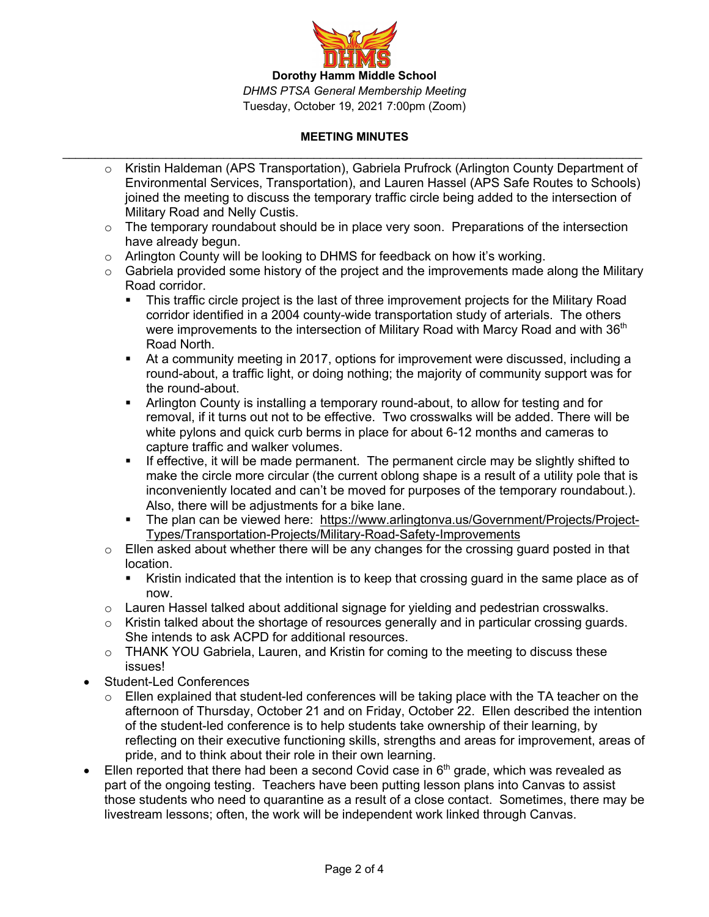

- o Kristin Haldeman (APS Transportation), Gabriela Prufrock (Arlington County Department of Environmental Services, Transportation), and Lauren Hassel (APS Safe Routes to Schools) joined the meeting to discuss the temporary traffic circle being added to the intersection of Military Road and Nelly Custis.
- $\circ$  The temporary roundabout should be in place very soon. Preparations of the intersection have already begun.
- $\circ$  Arlington County will be looking to DHMS for feedback on how it's working.
- $\circ$  Gabriela provided some history of the project and the improvements made along the Military Road corridor.
	- This traffic circle project is the last of three improvement projects for the Military Road corridor identified in a 2004 county-wide transportation study of arterials. The others were improvements to the intersection of Military Road with Marcy Road and with 36<sup>th</sup> Road North.
	- At a community meeting in 2017, options for improvement were discussed, including a round-about, a traffic light, or doing nothing; the majority of community support was for the round-about.
	- Arlington County is installing a temporary round-about, to allow for testing and for removal, if it turns out not to be effective. Two crosswalks will be added. There will be white pylons and quick curb berms in place for about 6-12 months and cameras to capture traffic and walker volumes.
	- § If effective, it will be made permanent. The permanent circle may be slightly shifted to make the circle more circular (the current oblong shape is a result of a utility pole that is inconveniently located and can't be moved for purposes of the temporary roundabout.). Also, there will be adjustments for a bike lane.
	- The plan can be viewed here: https://www.arlingtonva.us/Government/Projects/Project-Types/Transportation-Projects/Military-Road-Safety-Improvements
- o Ellen asked about whether there will be any changes for the crossing guard posted in that location.
	- Kristin indicated that the intention is to keep that crossing guard in the same place as of now.
- $\circ$  Lauren Hassel talked about additional signage for yielding and pedestrian crosswalks.
- $\circ$  Kristin talked about the shortage of resources generally and in particular crossing guards. She intends to ask ACPD for additional resources.
- $\circ$  THANK YOU Gabriela, Lauren, and Kristin for coming to the meeting to discuss these issues!
- Student-Led Conferences
	- $\circ$  Ellen explained that student-led conferences will be taking place with the TA teacher on the afternoon of Thursday, October 21 and on Friday, October 22. Ellen described the intention of the student-led conference is to help students take ownership of their learning, by reflecting on their executive functioning skills, strengths and areas for improvement, areas of pride, and to think about their role in their own learning.
- Ellen reported that there had been a second Covid case in  $6<sup>th</sup>$  grade, which was revealed as part of the ongoing testing. Teachers have been putting lesson plans into Canvas to assist those students who need to quarantine as a result of a close contact. Sometimes, there may be livestream lessons; often, the work will be independent work linked through Canvas.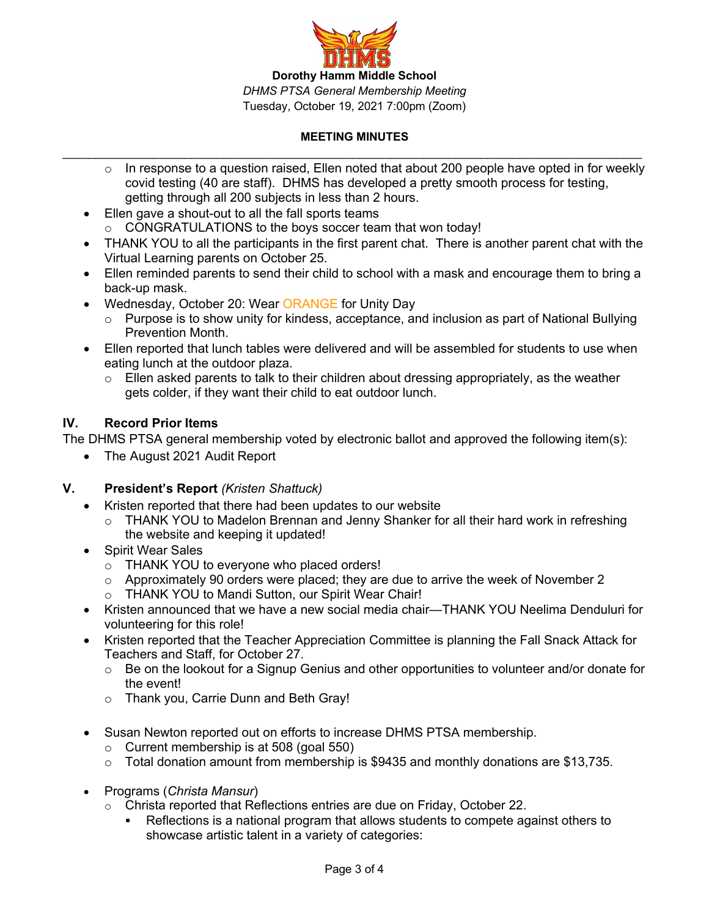

- $\circ$  In response to a question raised, Ellen noted that about 200 people have opted in for weekly covid testing (40 are staff). DHMS has developed a pretty smooth process for testing, getting through all 200 subjects in less than 2 hours.
- Ellen gave a shout-out to all the fall sports teams o CONGRATULATIONS to the boys soccer team that won today!
- THANK YOU to all the participants in the first parent chat. There is another parent chat with the Virtual Learning parents on October 25.
- Ellen reminded parents to send their child to school with a mask and encourage them to bring a back-up mask.
- Wednesday, October 20: Wear ORANGE for Unity Day
	- $\circ$  Purpose is to show unity for kindess, acceptance, and inclusion as part of National Bullying Prevention Month.
- Ellen reported that lunch tables were delivered and will be assembled for students to use when eating lunch at the outdoor plaza.
	- $\circ$  Ellen asked parents to talk to their children about dressing appropriately, as the weather gets colder, if they want their child to eat outdoor lunch.

### **IV. Record Prior Items**

The DHMS PTSA general membership voted by electronic ballot and approved the following item(s):

• The August 2021 Audit Report

### **V. President's Report** *(Kristen Shattuck)*

- Kristen reported that there had been updates to our website
	- $\circ$  THANK YOU to Madelon Brennan and Jenny Shanker for all their hard work in refreshing the website and keeping it updated!
- Spirit Wear Sales
	- o THANK YOU to everyone who placed orders!
	- o Approximately 90 orders were placed; they are due to arrive the week of November 2
	- o THANK YOU to Mandi Sutton, our Spirit Wear Chair!
- Kristen announced that we have a new social media chair—THANK YOU Neelima Denduluri for volunteering for this role!
- Kristen reported that the Teacher Appreciation Committee is planning the Fall Snack Attack for Teachers and Staff, for October 27.
	- $\circ$  Be on the lookout for a Signup Genius and other opportunities to volunteer and/or donate for the event!
	- o Thank you, Carrie Dunn and Beth Gray!
- Susan Newton reported out on efforts to increase DHMS PTSA membership.
	- $\circ$  Current membership is at 508 (goal 550)
	- $\circ$  Total donation amount from membership is \$9435 and monthly donations are \$13,735.
- Programs (*Christa Mansur*)
	- o Christa reported that Reflections entries are due on Friday, October 22.
		- Reflections is a national program that allows students to compete against others to showcase artistic talent in a variety of categories: